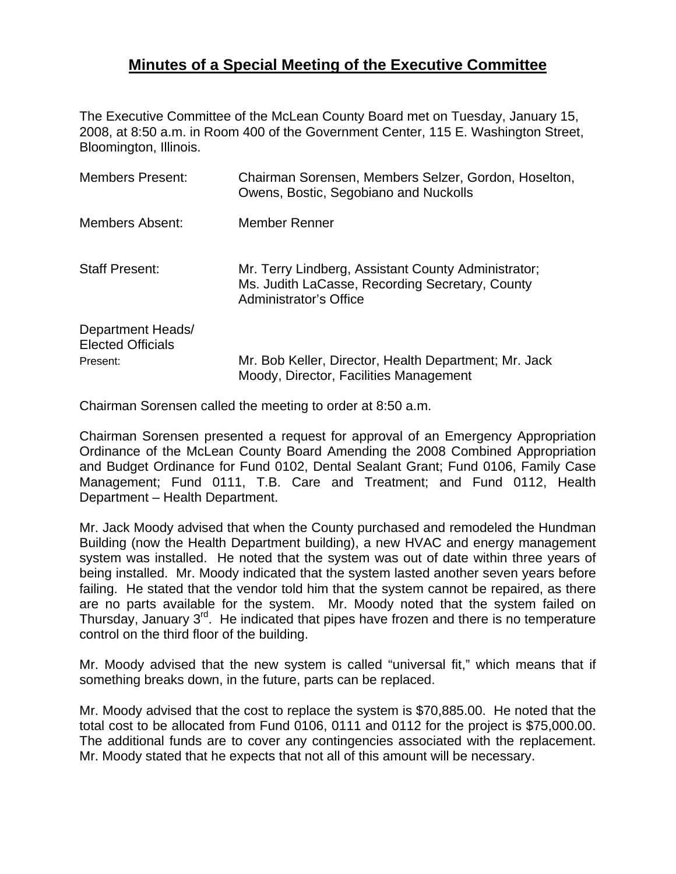## **Minutes of a Special Meeting of the Executive Committee**

The Executive Committee of the McLean County Board met on Tuesday, January 15, 2008, at 8:50 a.m. in Room 400 of the Government Center, 115 E. Washington Street, Bloomington, Illinois.

| <b>Members Present:</b>                       | Chairman Sorensen, Members Selzer, Gordon, Hoselton,<br>Owens, Bostic, Segobiano and Nuckolls                                    |
|-----------------------------------------------|----------------------------------------------------------------------------------------------------------------------------------|
| Members Absent:                               | Member Renner                                                                                                                    |
| <b>Staff Present:</b>                         | Mr. Terry Lindberg, Assistant County Administrator;<br>Ms. Judith LaCasse, Recording Secretary, County<br>Administrator's Office |
| Department Heads/<br><b>Elected Officials</b> |                                                                                                                                  |
| Present:                                      | Mr. Bob Keller, Director, Health Department; Mr. Jack<br>Moody, Director, Facilities Management                                  |

Chairman Sorensen called the meeting to order at 8:50 a.m.

Chairman Sorensen presented a request for approval of an Emergency Appropriation Ordinance of the McLean County Board Amending the 2008 Combined Appropriation and Budget Ordinance for Fund 0102, Dental Sealant Grant; Fund 0106, Family Case Management; Fund 0111, T.B. Care and Treatment; and Fund 0112, Health Department – Health Department.

Mr. Jack Moody advised that when the County purchased and remodeled the Hundman Building (now the Health Department building), a new HVAC and energy management system was installed. He noted that the system was out of date within three years of being installed. Mr. Moody indicated that the system lasted another seven years before failing. He stated that the vendor told him that the system cannot be repaired, as there are no parts available for the system. Mr. Moody noted that the system failed on Thursday, January 3<sup>rd</sup>. He indicated that pipes have frozen and there is no temperature control on the third floor of the building.

Mr. Moody advised that the new system is called "universal fit," which means that if something breaks down, in the future, parts can be replaced.

Mr. Moody advised that the cost to replace the system is \$70,885.00. He noted that the total cost to be allocated from Fund 0106, 0111 and 0112 for the project is \$75,000.00. The additional funds are to cover any contingencies associated with the replacement. Mr. Moody stated that he expects that not all of this amount will be necessary.